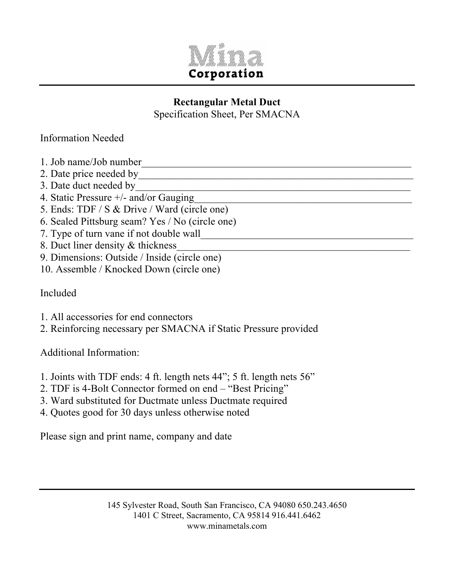

## **Rectangular Metal Duct**

Specification Sheet, Per SMACNA

## Information Needed

- 1. Job name/Job number
- 2. Date price needed by
- 3. Date duct needed by
- 4. Static Pressure  $+\prime$  and/or Gauging
- 5. Ends: TDF / S & Drive / Ward (circle one)
- 6. Sealed Pittsburg seam? Yes / No (circle one)
- 7. Type of turn vane if not double wall
- 8. Duct liner density & thickness
- 9. Dimensions: Outside / Inside (circle one)
- 10. Assemble / Knocked Down (circle one)

Included

- 1. All accessories for end connectors
- 2. Reinforcing necessary per SMACNA if Static Pressure provided

Additional Information:

- 1. Joints with TDF ends: 4 ft. length nets 44"; 5 ft. length nets 56"
- 2. TDF is 4-Bolt Connector formed on end "Best Pricing"
- 3. Ward substituted for Ductmate unless Ductmate required
- 4. Quotes good for 30 days unless otherwise noted

Please sign and print name, company and date